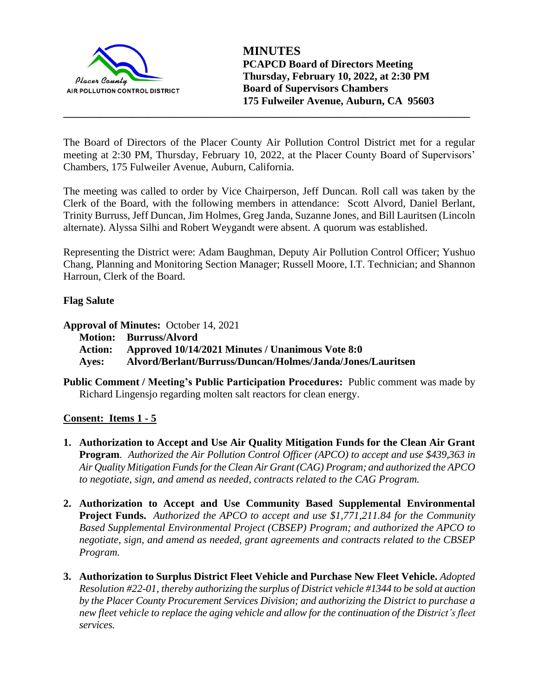

The Board of Directors of the Placer County Air Pollution Control District met for a regular meeting at 2:30 PM, Thursday, February 10, 2022, at the Placer County Board of Supervisors' Chambers, 175 Fulweiler Avenue, Auburn, California.

**\_\_\_\_\_\_\_\_\_\_\_\_\_\_\_\_\_\_\_\_\_\_\_\_\_\_\_\_\_\_\_\_\_\_\_\_\_\_\_\_\_\_\_\_\_\_\_\_\_\_\_\_\_\_\_\_\_\_\_\_\_\_\_\_\_\_\_\_\_\_\_\_\_\_\_\_\_**

The meeting was called to order by Vice Chairperson, Jeff Duncan. Roll call was taken by the Clerk of the Board, with the following members in attendance: Scott Alvord, Daniel Berlant, Trinity Burruss, Jeff Duncan, Jim Holmes, Greg Janda, Suzanne Jones, and Bill Lauritsen (Lincoln alternate). Alyssa Silhi and Robert Weygandt were absent. A quorum was established.

Representing the District were: Adam Baughman, Deputy Air Pollution Control Officer; Yushuo Chang, Planning and Monitoring Section Manager; Russell Moore, I.T. Technician; and Shannon Harroun, Clerk of the Board.

# **Flag Salute**

**Approval of Minutes:** October 14, 2021

**Motion: Burruss/Alvord**

**Action: Approved 10/14/2021 Minutes / Unanimous Vote 8:0**

- **Ayes: Alvord/Berlant/Burruss/Duncan/Holmes/Janda/Jones/Lauritsen**
- **Public Comment / Meeting's Public Participation Procedures:** Public comment was made by Richard Lingensjo regarding molten salt reactors for clean energy.

### **Consent: Items 1 - 5**

- **1. Authorization to Accept and Use Air Quality Mitigation Funds for the Clean Air Grant Program***. Authorized the Air Pollution Control Officer (APCO) to accept and use \$439,363 in Air Quality Mitigation Funds for the Clean Air Grant (CAG) Program; and authorized the APCO to negotiate, sign, and amend as needed, contracts related to the CAG Program.*
- **2. Authorization to Accept and Use Community Based Supplemental Environmental Project Funds.** *Authorized the APCO to accept and use \$1,771,211.84 for the Community Based Supplemental Environmental Project (CBSEP) Program; and authorized the APCO to negotiate, sign, and amend as needed, grant agreements and contracts related to the CBSEP Program.*
- **3. Authorization to Surplus District Fleet Vehicle and Purchase New Fleet Vehicle.** *Adopted Resolution #22-01, thereby authorizing the surplus of District vehicle #1344 to be sold at auction by the Placer County Procurement Services Division; and authorizing the District to purchase a new fleet vehicle to replace the aging vehicle and allow for the continuation of the District's fleet services.*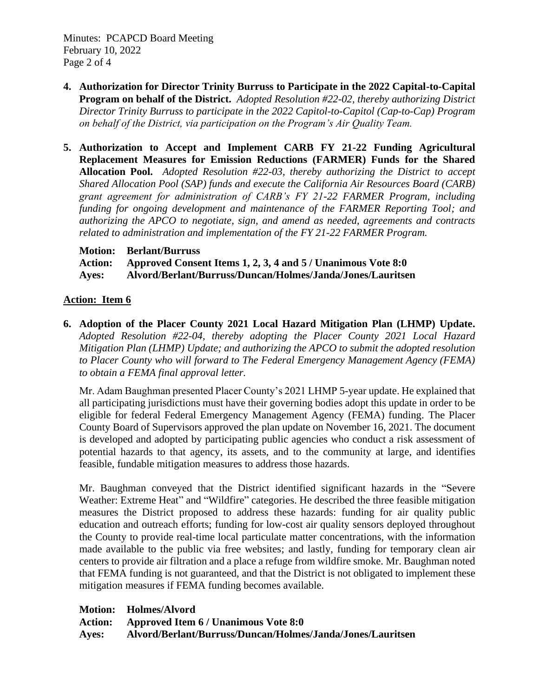Minutes: PCAPCD Board Meeting February 10, 2022 Page 2 of 4

- **4. Authorization for Director Trinity Burruss to Participate in the 2022 Capital-to-Capital Program on behalf of the District.** *Adopted Resolution #22-02, thereby authorizing District Director Trinity Burruss to participate in the 2022 Capitol-to-Capitol (Cap-to-Cap) Program on behalf of the District, via participation on the Program's Air Quality Team.*
- **5. Authorization to Accept and Implement CARB FY 21-22 Funding Agricultural Replacement Measures for Emission Reductions (FARMER) Funds for the Shared Allocation Pool.** *Adopted Resolution #22-03, thereby authorizing the District to accept Shared Allocation Pool (SAP) funds and execute the California Air Resources Board (CARB) grant agreement for administration of CARB's FY 21-22 FARMER Program, including funding for ongoing development and maintenance of the FARMER Reporting Tool; and authorizing the APCO to negotiate, sign, and amend as needed, agreements and contracts related to administration and implementation of the FY 21-22 FARMER Program.*
	- **Motion: Berlant/Burruss**

| <b>Action:</b> | Approved Consent Items 1, 2, 3, 4 and 5 / Unanimous Vote 8:0 |
|----------------|--------------------------------------------------------------|
| Ayes:          | Alvord/Berlant/Burruss/Duncan/Holmes/Janda/Jones/Lauritsen   |

## **Action: Item 6**

**6. Adoption of the Placer County 2021 Local Hazard Mitigation Plan (LHMP) Update.**  *Adopted Resolution #22-04, thereby adopting the Placer County 2021 Local Hazard Mitigation Plan (LHMP) Update; and authorizing the APCO to submit the adopted resolution to Placer County who will forward to The Federal Emergency Management Agency (FEMA) to obtain a FEMA final approval letter.*

Mr. Adam Baughman presented Placer County's 2021 LHMP 5-year update. He explained that all participating jurisdictions must have their governing bodies adopt this update in order to be eligible for federal Federal Emergency Management Agency (FEMA) funding. The Placer County Board of Supervisors approved the plan update on November 16, 2021. The document is developed and adopted by participating public agencies who conduct a risk assessment of potential hazards to that agency, its assets, and to the community at large, and identifies feasible, fundable mitigation measures to address those hazards.

Mr. Baughman conveyed that the District identified significant hazards in the "Severe Weather: Extreme Heat" and "Wildfire" categories. He described the three feasible mitigation measures the District proposed to address these hazards: funding for air quality public education and outreach efforts; funding for low-cost air quality sensors deployed throughout the County to provide real-time local particulate matter concentrations, with the information made available to the public via free websites; and lastly, funding for temporary clean air centers to provide air filtration and a place a refuge from wildfire smoke. Mr. Baughman noted that FEMA funding is not guaranteed, and that the District is not obligated to implement these mitigation measures if FEMA funding becomes available.

**Motion: Holmes/Alvord**

**Action: Approved Item 6 / Unanimous Vote 8:0**

**Ayes: Alvord/Berlant/Burruss/Duncan/Holmes/Janda/Jones/Lauritsen**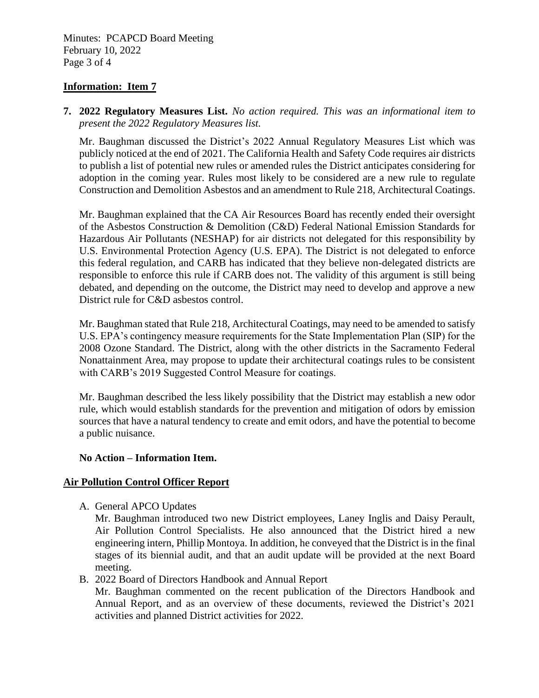Minutes: PCAPCD Board Meeting February 10, 2022 Page 3 of 4

### **Information: Item 7**

**7. 2022 Regulatory Measures List.** *No action required. This was an informational item to present the 2022 Regulatory Measures list.*

Mr. Baughman discussed the District's 2022 Annual Regulatory Measures List which was publicly noticed at the end of 2021. The California Health and Safety Code requires air districts to publish a list of potential new rules or amended rules the District anticipates considering for adoption in the coming year. Rules most likely to be considered are a new rule to regulate Construction and Demolition Asbestos and an amendment to Rule 218, Architectural Coatings.

Mr. Baughman explained that the CA Air Resources Board has recently ended their oversight of the Asbestos Construction & Demolition (C&D) Federal National Emission Standards for Hazardous Air Pollutants (NESHAP) for air districts not delegated for this responsibility by U.S. Environmental Protection Agency (U.S. EPA). The District is not delegated to enforce this federal regulation, and CARB has indicated that they believe non-delegated districts are responsible to enforce this rule if CARB does not. The validity of this argument is still being debated, and depending on the outcome, the District may need to develop and approve a new District rule for C&D asbestos control.

Mr. Baughman stated that Rule 218, Architectural Coatings, may need to be amended to satisfy U.S. EPA's contingency measure requirements for the State Implementation Plan (SIP) for the 2008 Ozone Standard. The District, along with the other districts in the Sacramento Federal Nonattainment Area, may propose to update their architectural coatings rules to be consistent with CARB's 2019 Suggested Control Measure for coatings.

Mr. Baughman described the less likely possibility that the District may establish a new odor rule, which would establish standards for the prevention and mitigation of odors by emission sources that have a natural tendency to create and emit odors, and have the potential to become a public nuisance.

### **No Action – Information Item.**

### **Air Pollution Control Officer Report**

A. General APCO Updates

Mr. Baughman introduced two new District employees, Laney Inglis and Daisy Perault, Air Pollution Control Specialists. He also announced that the District hired a new engineering intern, Phillip Montoya. In addition, he conveyed that the District is in the final stages of its biennial audit, and that an audit update will be provided at the next Board meeting.

B. 2022 Board of Directors Handbook and Annual Report

Mr. Baughman commented on the recent publication of the Directors Handbook and Annual Report, and as an overview of these documents, reviewed the District's 2021 activities and planned District activities for 2022.